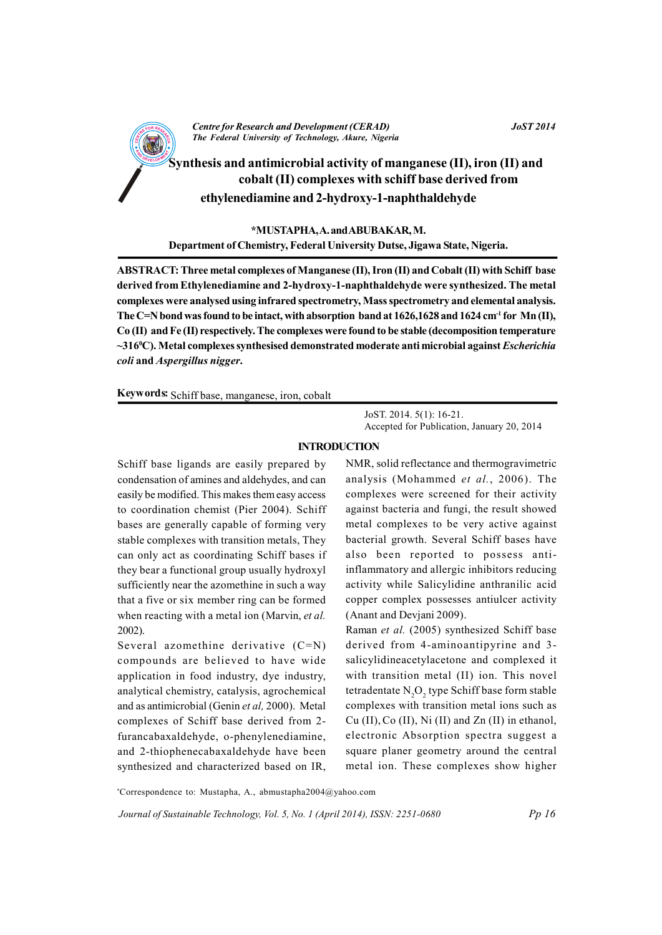

\*MUSTAPHA, A. and ABUBAKAR, M. Department of Chemistry, Federal University Dutse, Jigawa State, Nigeria.

ABSTRACT: Three metal complexes of Manganese (II), Iron (II) and Cobalt (II) with Schiff base derived from Ethylenediamine and 2-hydroxy-1-naphthaldehyde were synthesized. The metal complexes were analysed using infrared spectrometry, Mass spectrometry and elemental analysis. The C=N bond was found to be intact, with absorption band at  $1626,1628$  and  $1624$  cm<sup>-1</sup> for Mn (II), Co (II) and Fe (II) respectively. The complexes were found to be stable (decomposition temperature  $\sim$ 316°C). Metal complexes synthesised demonstrated moderate anti microbial against *Escherichia* coli and Aspergillus nigger.

Keywords: Schiff base, manganese, iron, cobalt

JoST. 2014. 5(1): 16-21. Accepted for Publication, January 20, 2014

# **INTRODUCTION**

Schiff base ligands are easily prepared by condensation of amines and aldehydes, and can easily be modified. This makes them easy access to coordination chemist (Pier 2004). Schiff bases are generally capable of forming very stable complexes with transition metals, They can only act as coordinating Schiff bases if they bear a functional group usually hydroxyl sufficiently near the azomethine in such a way that a five or six member ring can be formed when reacting with a metal ion (Marvin, et al.  $2002$ ).

Several azomethine derivative  $(C=N)$ compounds are believed to have wide application in food industry, dye industry, analytical chemistry, catalysis, agrochemical and as antimicrobial (Genin et al, 2000). Metal complexes of Schiff base derived from 2furancabaxaldehyde, o-phenylenediamine, and 2-thiophenecabaxaldehyde have been synthesized and characterized based on IR,

NMR, solid reflectance and thermogravimetric analysis (Mohammed et al., 2006). The complexes were screened for their activity against bacteria and fungi, the result showed metal complexes to be very active against bacterial growth. Several Schiff bases have also been reported to possess antiinflammatory and allergic inhibitors reducing activity while Salicylidine anthranilic acid copper complex possesses antiulcer activity (Anant and Deviani 2009).

Raman et al. (2005) synthesized Schiff base derived from 4-aminoantipyrine and 3salicylidineacetylacetone and complexed it with transition metal (II) ion. This novel tetradentate N<sub>2</sub>O<sub>2</sub> type Schiff base form stable complexes with transition metal ions such as  $Cu (II), Co (II), Ni (II)$  and  $Zn (II)$  in ethanol, electronic Absorption spectra suggest a square planer geometry around the central metal ion. These complexes show higher

\*Correspondence to: Mustapha, A., abmustapha2004@yahoo.com

Journal of Sustainable Technology, Vol. 5, No. 1 (April 2014), ISSN: 2251-0680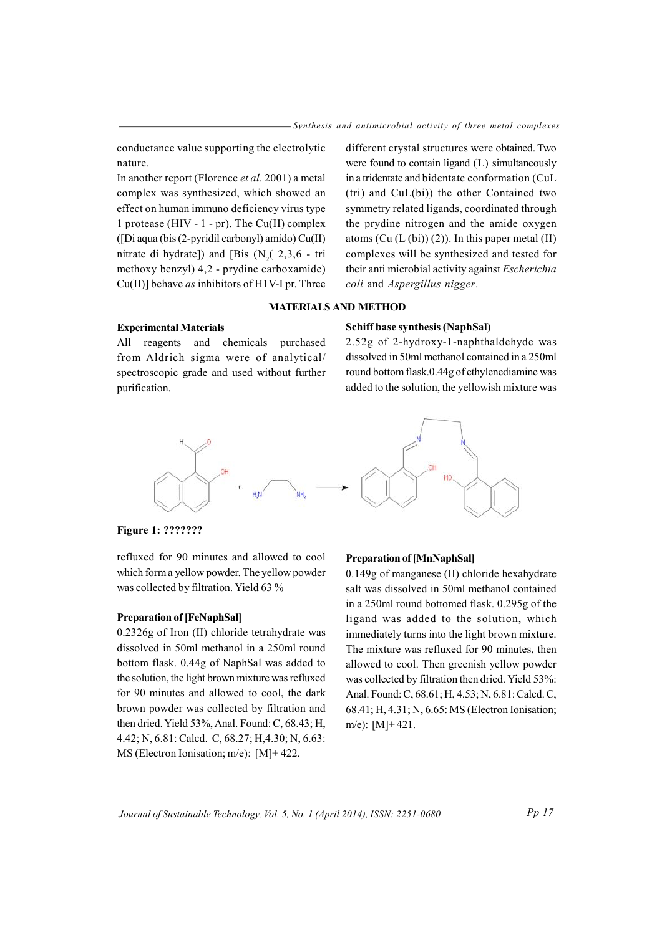conductance value supporting the electrolytic nature.

In another report (Florence et al. 2001) a metal complex was synthesized, which showed an effect on human immuno deficiency virus type 1 protease (HIV -  $1$  - pr). The Cu(II) complex ([Di aqua (bis (2-pyridil carbonyl) amido) Cu(II) nitrate di hydrate]) and [Bis  $(N<sub>2</sub>, 2, 3, 6 - tri)$ methoxy benzyl) 4,2 - prydine carboxamide)  $Cu(II)$ ] behave *as* inhibitors of H1V-I pr. Three

different crystal structures were obtained. Two were found to contain ligand (L) simultaneously in a tridentate and bidentate conformation (CuL  $(tri)$  and  $CuL(bi)$  the other Contained two symmetry related ligands, coordinated through the prydine nitrogen and the amide oxygen atoms  $(Cu (L (bi)) (2))$ . In this paper metal (II) complexes will be synthesized and tested for their anti microbial activity against *Escherichia* coli and Aspergillus nigger.

# **MATERIALS AND METHOD**

## **Experimental Materials**

All reagents and chemicals purchased from Aldrich sigma were of analytical/ spectroscopic grade and used without further purification.

2.52g of 2-hydroxy-1-naphthaldehyde was dissolved in 50ml methanol contained in a 250ml round bottom flask.0.44g of ethylenediamine was added to the solution, the yellowish mixture was

**Schiff base synthesis (NaphSal)** 



Figure 1: ???????

refluxed for 90 minutes and allowed to cool which form a yellow powder. The yellow powder was collected by filtration. Yield 63 %

#### **Preparation of [FeNaphSal]**

0.2326g of Iron (II) chloride tetrahydrate was dissolved in 50ml methanol in a 250ml round bottom flask. 0.44g of NaphSal was added to the solution, the light brown mixture was refluxed for 90 minutes and allowed to cool, the dark brown powder was collected by filtration and then dried. Yield 53%, Anal. Found: C, 68.43; H, 4.42; N, 6.81; Calcd. C, 68.27; H, 4.30; N, 6.63; MS (Electron Ionisation; m/e):  $[M]+422$ .

## **Preparation of [MnNaphSal]**

0.149g of manganese (II) chloride hexahydrate salt was dissolved in 50ml methanol contained in a 250ml round bottomed flask. 0.295g of the ligand was added to the solution, which immediately turns into the light brown mixture. The mixture was refluxed for 90 minutes, then allowed to cool. Then greenish yellow powder was collected by filtration then dried. Yield 53%: Anal. Found: C, 68.61; H, 4.53; N, 6.81: Calcd. C, 68.41; H, 4.31; N, 6.65: MS (Electron Ionisation; m/e):  $[M]+421$ .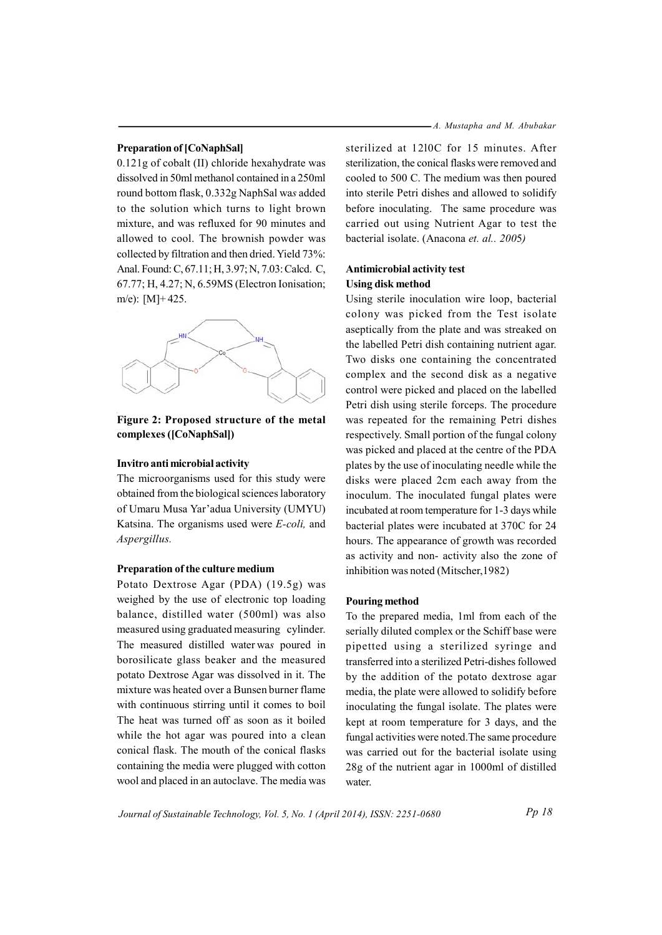#### **Preparation of [CoNaphSal]**

 $0.121$ g of cobalt (II) chloride hexahydrate was dissolved in 50ml methanol contained in a 250ml round bottom flask, 0.332g NaphSal was added to the solution which turns to light brown mixture, and was refluxed for 90 minutes and allowed to cool. The brownish powder was collected by filtration and then dried. Yield 73%: Anal. Found: C, 67.11; H, 3.97; N, 7.03: Calcd. C, 67.77; H, 4.27; N, 6.59MS (Electron Ionisation; m/e):  $[M]+425$ .



# **Figure 2:** Proposed structure of the metal  $complexes ([CoNaphSal])$

## **Invitro anti microbial activity**

The microorganisms used for this study were obtained from the biological sciences laboratory of Umaru Musa Yar'adua University (UMYU) Katsina. The organisms used were *E-coli*, and  $A$ *spergillus*.

#### **Preparation of the culture medium**

Potato Dextrose Agar (PDA) (19.5g) was weighed by the use of electronic top loading balance, distilled water (500ml) was also measured using graduated measuring cylinder. The measured distilled water was poured in borosilicate glass beaker and the measured potato Dextrose Agar was dissolved in it. The mixture was heated over a Bunsen burner flame with continuous stirring until it comes to boil The heat was turned off as soon as it boiled while the hot agar was poured into a clean conical flask. The mouth of the conical flasks containing the media were plugged with cotton wool and placed in an autoclave. The media was

sterilized at 1210C for 15 minutes. After sterilization, the conical flasks were removed and cooled to 500 C. The medium was then poured into sterile Petri dishes and allowed to solidify before inoculating. The same procedure was carried out using Nutrient Agar to test the bacterial isolate. (Anacona *et. al., 2005*)

# **Antimicrobial activity test Using** disk method

Using sterile inoculation wire loop, bacterial colony was picked from the Test isolate aseptically from the plate and was streaked on the labelled Petri dish containing nutrient agar. Two disks one containing the concentrated complex and the second disk as a negative control were picked and placed on the labelled Petri dish using sterile forceps. The procedure was repeated for the remaining Petri dishes respectively. Small portion of the fungal colony was picked and placed at the centre of the PDA plates by the use of inoculating needle while the disks were placed 2cm each away from the inoculum. The inoculated fungal plates were incubated at room temperature for 1-3 days while bacterial plates were incubated at 370C for 24 hours. The appearance of growth was recorded as activity and non- activity also the zone of inhibition was noted (Mitscher, 1982)

#### **Pouring method**

To the prepared media, 1ml from each of the serially diluted complex or the Schiff base were pipetted using a sterilized syringe and transferred into a sterilized Petri-dishes followed by the addition of the potato dextrose agar media, the plate were allowed to solidify before inoculating the fungal isolate. The plates were kept at room temperature for 3 days, and the fungal activities were noted. The same procedure was carried out for the bacterial isolate using  $28g$  of the nutrient agar in 1000ml of distilled water.

Journal of Sustainable Technology, Vol. 5, No. 1 (April 2014), ISSN: 2251-0680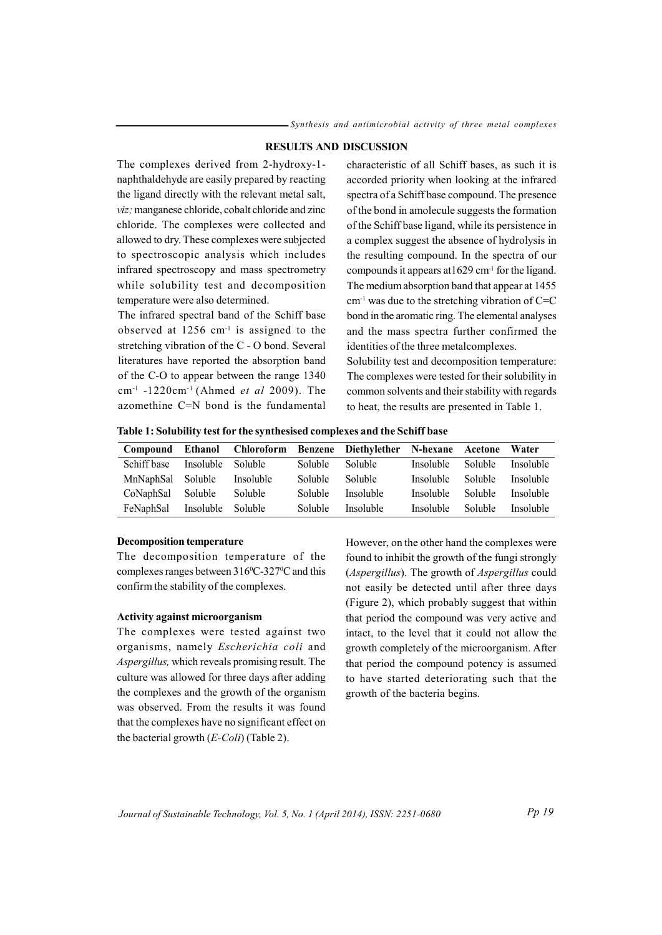# **RESULTS AND DISCUSSION**

The complexes derived from 2-hydroxy-1naphthaldehyde are easily prepared by reacting the ligand directly with the relevant metal salt, viz; manganese chloride, cobalt chloride and zinc chloride. The complexes were collected and allowed to dry. These complexes were subjected to spectroscopic analysis which includes infrared spectroscopy and mass spectrometry while solubility test and decomposition temperature were also determined.

The infrared spectral band of the Schiff base observed at  $1256$  cm<sup>-1</sup> is assigned to the stretching vibration of the C - O bond. Several literatures have reported the absorption band of the C-O to appear between the range 1340 cm<sup>-1</sup> -1220cm<sup>-1</sup> (Ahmed *et al* 2009). The azomethine  $C=N$  bond is the fundamental characteristic of all Schiff bases, as such it is accorded priority when looking at the infrared spectra of a Schiff base compound. The presence of the bond in amolecule suggests the formation of the Schiff base ligand, while its persistence in a complex suggest the absence of hydrolysis in the resulting compound. In the spectra of our compounds it appears at  $1629$  cm<sup>-1</sup> for the ligand. The medium absorption band that appear at 1455  $cm<sup>-1</sup>$  was due to the stretching vibration of C=C bond in the aromatic ring. The elemental analyses and the mass spectra further confirmed the identities of the three metalcomplexes.

Solubility test and decomposition temperature: The complexes were tested for their solubility in common solvents and their stability with regards to heat, the results are presented in Table 1.

Table 1: Solubility test for the synthesised complexes and the Schiff base

| Compound    | Ethanol   | <b>Chloroform</b> |         | Benzene Diethylether N-hexane Acetone |           |                | Water     |
|-------------|-----------|-------------------|---------|---------------------------------------|-----------|----------------|-----------|
| Schiff base | Insoluble | <b>Soluble</b>    | Soluble | <b>Soluble</b>                        | Insoluble | <b>Soluble</b> | Insoluble |
| MnNaphSal   | Soluble   | Insoluble         | Soluble | Soluble.                              | Insoluble | <b>Soluble</b> | Insoluble |
| CoNaphSal   | Soluble   | Soluble           | Soluble | Insoluble                             | Insoluble | <b>Soluble</b> | Insoluble |
| FeNaphSal   | Insoluble | <b>Soluble</b>    | Soluble | Insoluble                             | Insoluble | Soluble        | Insoluble |

#### **Decomposition temperature**

The decomposition temperature of the complexes ranges between 316°C-327°C and this confirm the stability of the complexes.

#### **Activity against microorganism**

The complexes were tested against two organisms, namely Escherichia coli and Aspergillus, which reveals promising result. The culture was allowed for three days after adding the complexes and the growth of the organism was observed. From the results it was found that the complexes have no significant effect on the bacterial growth  $(E\text{-}Coli)$  (Table 2).

However, on the other hand the complexes were found to inhibit the growth of the fungi strongly (Aspergillus). The growth of Aspergillus could not easily be detected until after three days (Figure 2), which probably suggest that within that period the compound was very active and intact, to the level that it could not allow the growth completely of the microorganism. After that period the compound potency is assumed to have started deteriorating such that the growth of the bacteria begins.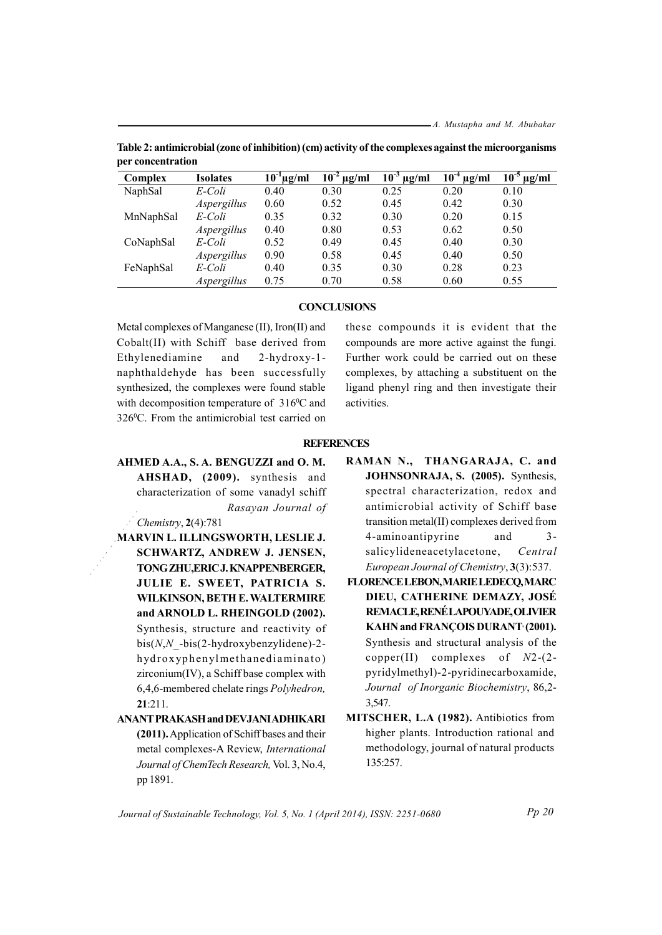| Complex   | <b>Isolates</b> | $10^{-1}$ µg/ml | $10^{-2}$<br>$\mu$ g/ml | $10^{-3}$<br>$\mu$ g/ml | $10^{-4}$<br>$\mu$ g/ml | 10 <sup>5</sup><br>$\mu$ g/ml |
|-----------|-----------------|-----------------|-------------------------|-------------------------|-------------------------|-------------------------------|
| NaphSal   | E-Coli          | 0.40            | 0.30                    | 0.25                    | 0.20                    | 0.10                          |
|           | Aspergillus     | 0.60            | 0.52                    | 0.45                    | 0.42                    | 0.30                          |
| MnNaphSal | E-Coli          | 0.35            | 0.32                    | 0.30                    | 0.20                    | 0.15                          |
|           | Aspergillus     | 0.40            | 0.80                    | 0.53                    | 0.62                    | 0.50                          |
| CoNaphSal | E-Coli          | 0.52            | 0.49                    | 0.45                    | 0.40                    | 0.30                          |
|           | Aspergillus     | 0.90            | 0.58                    | 0.45                    | 0.40                    | 0.50                          |
| FeNaphSal | E-Coli          | 0.40            | 0.35                    | 0.30                    | 0.28                    | 0.23                          |
|           | Aspergillus     | 0.75            | 0.70                    | 0.58                    | 0.60                    | 0.55                          |

Table 2: antimicrobial (zone of inhibition) (cm) activity of the complexes against the microorganisms per concentration

## **CONCLUSIONS**

Metal complexes of Manganese (II), Iron(II) and Cobalt(II) with Schiff base derived from Ethylenediamine and  $2-hydroxy-1$ naphthaldehyde has been successfully synthesized, the complexes were found stable with decomposition temperature of 316°C and 326°C. From the antimicrobial test carried on

these compounds it is evident that the compounds are more active against the fungi. Further work could be carried out on these complexes, by attaching a substituent on the ligand phenyl ring and then investigate their activities.

#### **REFERENCES**

AHMED A.A., S. A. BENGUZZI and O. M. AHSHAD, (2009). synthesis and characterization of some vanadyl schiff Rasayan Journal of

Chemistry,  $2(4)$ :781

- MARVIN L. ILLINGSWORTH, LESLIE J. **SCHWARTZ, ANDREW J. JENSEN,** TONG ZHU, ERIC J. KNAPPENBERGER, JULIE E. SWEET, PATRICIA S. WILKINSON, BETH E. WALTERMIRE and ARNOLD L. RHEINGOLD (2002). Synthesis, structure and reactivity of  $bis(N, N - bis(2-hydroxybenzylidene) - 2$ hydroxyphenylmethanediaminato) zirconium(IV), a Schiff base complex with 6,4,6-membered chelate rings Polyhedron,  $21:211$ .
- **ANANT PRAKASH and DEVJANI ADHIKARI** (2011). Application of Schiff bases and their metal complexes-A Review, International Journal of ChemTech Research, Vol. 3, No.4, pp 1891.
- RAMAN N., THANGARAJA, C. and JOHNSONRAJA, S. (2005). Synthesis, spectral characterization, redox and antimicrobial activity of Schiff base transition metal(II) complexes derived from 4-aminoantipyrine and  $3$ salicylideneacetylacetone, Central European Journal of Chemistry, 3(3):537.
- FLORENCE LEBON, MARIE LEDECO, MARC DIEU, CATHERINE DEMAZY, JOSÉ REMACLE, RENÉ LAPOUYADE, OLIVIER KAHN and FRANÇOIS DURANT (2001). Synthesis and structural analysis of the copper(II) complexes of  $N2-(2$ pyridylmethyl)-2-pyridinecarboxamide, Journal of Inorganic Biochemistry, 86,2-3.547.
- MITSCHER, L.A (1982). Antibiotics from higher plants. Introduction rational and methodology, journal of natural products 135:257.

Journal of Sustainable Technology, Vol. 5, No. 1 (April 2014), ISSN: 2251-0680